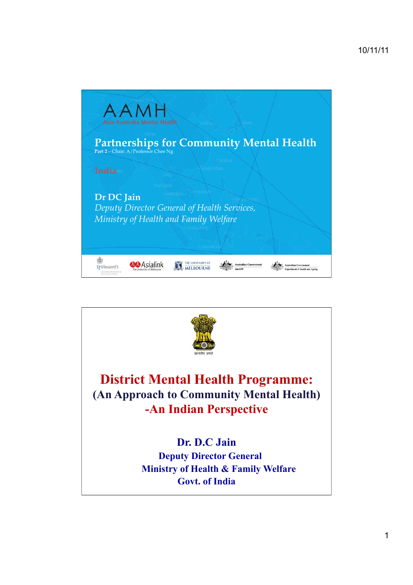

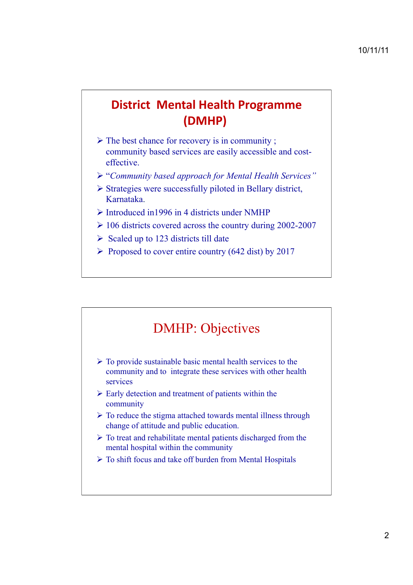## **District Mental Health Programme**  $(DMHP)$

- $\triangleright$  The best chance for recovery is in community ; community based services are easily accessible and costeffective.
- ! "*Community based approach for Mental Health Services"*
- $\triangleright$  Strategies were successfully piloted in Bellary district, Karnataka.
- $\triangleright$  Introduced in 1996 in 4 districts under NMHP
- $\geq$  106 districts covered across the country during 2002-2007
- $\triangleright$  Scaled up to 123 districts till date
- $\triangleright$  Proposed to cover entire country (642 dist) by 2017

# DMHP: Objectives

- $\triangleright$  To provide sustainable basic mental health services to the community and to integrate these services with other health services
- $\triangleright$  Early detection and treatment of patients within the community
- $\triangleright$  To reduce the stigma attached towards mental illness through change of attitude and public education.
- $\triangleright$  To treat and rehabilitate mental patients discharged from the mental hospital within the community
- $\triangleright$  To shift focus and take off burden from Mental Hospitals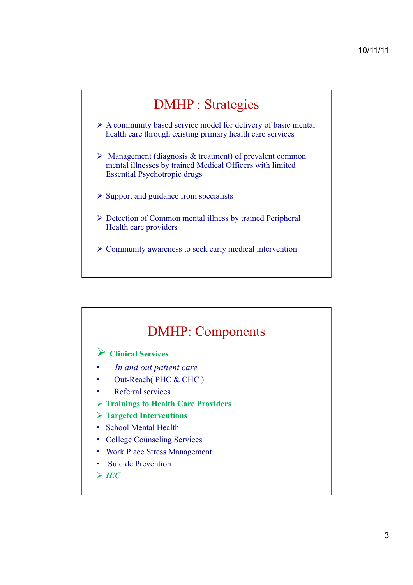# DMHP : Strategies

- $\triangleright$  A community based service model for delivery of basic mental health care through existing primary health care services
- $\triangleright$  Management (diagnosis & treatment) of prevalent common mental illnesses by trained Medical Officers with limited Essential Psychotropic drugs
- $\triangleright$  Support and guidance from specialists
- ! Detection of Common mental illness by trained Peripheral Health care providers
- $\triangleright$  Community awareness to seek early medical intervention



#### ! **Targeted Interventions**

- School Mental Health
- College Counseling Services
- Work Place Stress Management
- Suicide Prevention
- $\triangleright$  *IEC*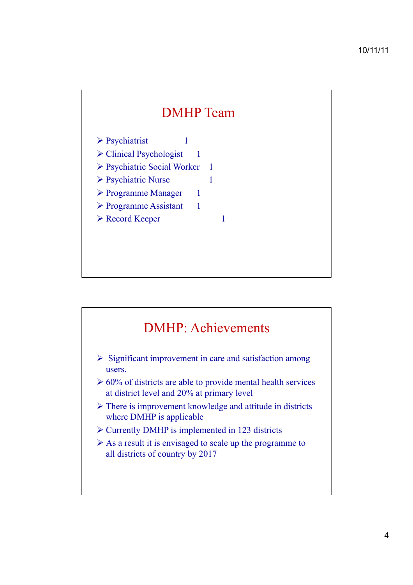# DMHP Team

 $\triangleright$  Psychiatrist 1

 $\triangleright$  Clinical Psychologist 1

! Psychiatric Social Worker 1

! Psychiatric Nurse 1

- ! Programme Manager 1
- $\triangleright$  Programme Assistant 1
- ! Record Keeper 1

# DMHP: Achievements

- $\triangleright$  Significant improvement in care and satisfaction among users.
- $\geq 60\%$  of districts are able to provide mental health services at district level and 20% at primary level
- $\triangleright$  There is improvement knowledge and attitude in districts where DMHP is applicable
- $\triangleright$  Currently DMHP is implemented in 123 districts
- $\triangleright$  As a result it is envisaged to scale up the programme to all districts of country by 2017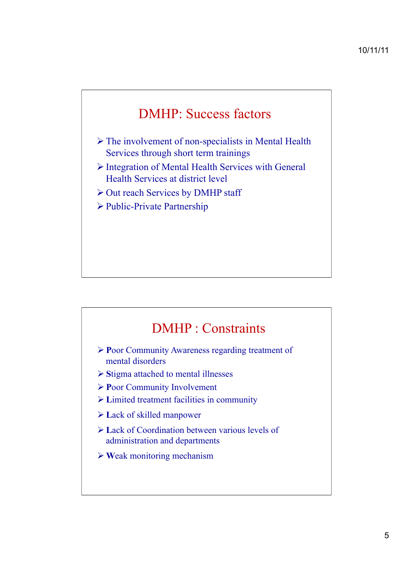# DMHP: Success factors

- $\triangleright$  The involvement of non-specialists in Mental Health Services through short term trainings
- $\triangleright$  Integration of Mental Health Services with General Health Services at district level
- $\triangleright$  Out reach Services by DMHP staff
- ! Public-Private Partnership

### DMHP : Constraints

- ! **P**oor Community Awareness regarding treatment of mental disorders
- ! **S**tigma attached to mental illnesses
- ! **P**oor Community Involvement
- ! **L**imited treatment facilities in community
- ! **L**ack of skilled manpower
- **E** Lack of Coordination between various levels of administration and departments
- ! **W**eak monitoring mechanism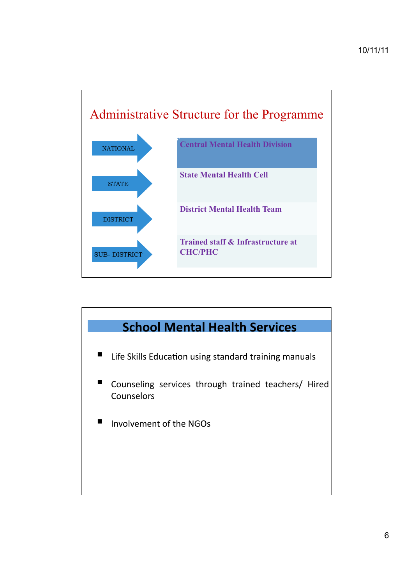

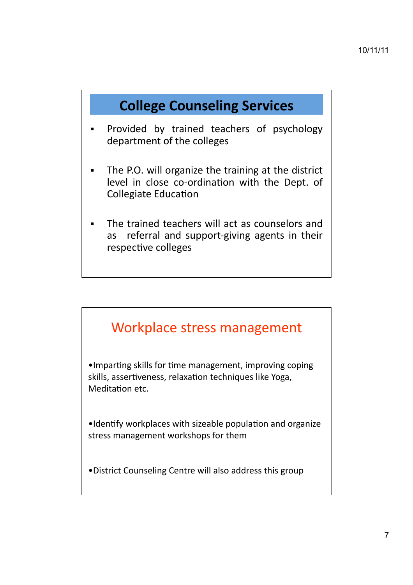# **College Counseling Services**

- Provided by trained teachers of psychology department of the colleges
- The P.O. will organize the training at the district level in close co-ordination with the Dept. of **Collegiate Education**
- The trained teachers will act as counselors and referral and support-giving agents in their as respective colleges